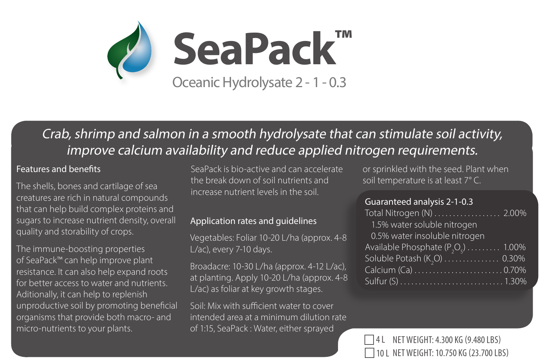

# Crab, shrimp and salmon in a smooth hydrolysate that can stimulate soil activity, improve calcium availability and reduce applied nitrogen requirements.

#### Features and benefits

The shells, bones and cartilage of sea creatures are rich in natural compounds that can help build complex proteins and sugars to increase nutrient density, overall quality and storability of crops.

The immune-boosting properties of SeaPack™ can help improve plant resistance. It can also help expand roots for better access to water and nutrients. Aditionally, it can help to replenish unproductive soil by promoting beneficial organisms that provide both macro- and micro-nutrients to your plants.

SeaPack is bio-active and can accelerate the break down of soil nutrients and increase nutrient levels in the soil.

#### Application rates and guidelines

Vegetables: Foliar 10-20 L/ha (approx. 4-8 L/ac), every 7-10 days.

Broadacre: 10-30 L/ha (approx. 4-12 L/ac), at planting. Apply 10-20 L/ha (approx. 4-8 L/ac) as foliar at key growth stages.

Soil: Mix with sufficient water to cover intended area at a minimum dilution rate of 1:15, SeaPack : Water, either sprayed

or sprinkled with the seed. Plant when soil temperature is at least 7° C.

#### Guaranteed analysis 2-1-0.3

| Total Nitrogen (N) 2.00%             |  |
|--------------------------------------|--|
| 1.5% water soluble nitrogen          |  |
| 0.5% water insoluble nitrogen        |  |
| Available Phosphate $(P_2O_5)$ 1.00% |  |
| Soluble Potash (K,O)  0.30%          |  |
| Calcium (Ca) 0.70%                   |  |
|                                      |  |

NET WEIGHT: 4.300 KG (9.480 LBS) 10 L NET WEIGHT: 10.750 KG (23.700 LBS)